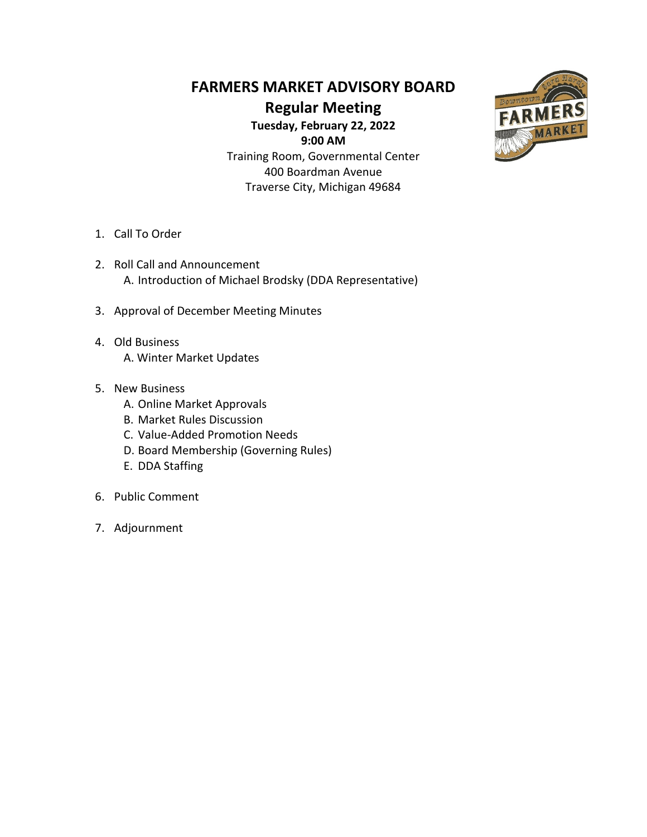#### **FARMERS MARKET ADVISORY BOARD**

**Regular Meeting**

**Tuesday, February 22, 2022 9:00 AM** Training Room, Governmental Center

400 Boardman Avenue Traverse City, Michigan 49684



- 1. Call To Order
- 2. Roll Call and Announcement A. Introduction of Michael Brodsky (DDA Representative)
- 3. Approval of December Meeting Minutes
- 4. Old Business A. Winter Market Updates
- 5. New Business
	- A. Online Market Approvals
	- B. Market Rules Discussion
	- C. Value-Added Promotion Needs
	- D. Board Membership (Governing Rules)
	- E. DDA Staffing
- 6. Public Comment
- 7. Adjournment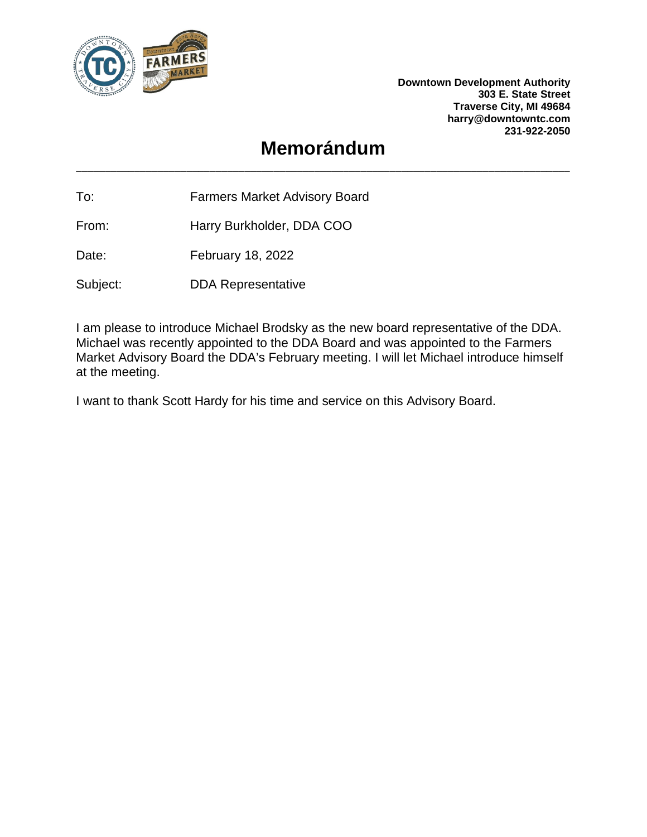

**Downtown Development Authority 303 E. State Street Traverse City, MI 49684 harry@downtowntc.com 231-922-2050**

### **Memorándum**

To: Farmers Market Advisory Board

From: Harry Burkholder, DDA COO

Date: February 18, 2022

Subject: DDA Representative

I am please to introduce Michael Brodsky as the new board representative of the DDA. Michael was recently appointed to the DDA Board and was appointed to the Farmers Market Advisory Board the DDA's February meeting. I will let Michael introduce himself at the meeting.

I want to thank Scott Hardy for his time and service on this Advisory Board.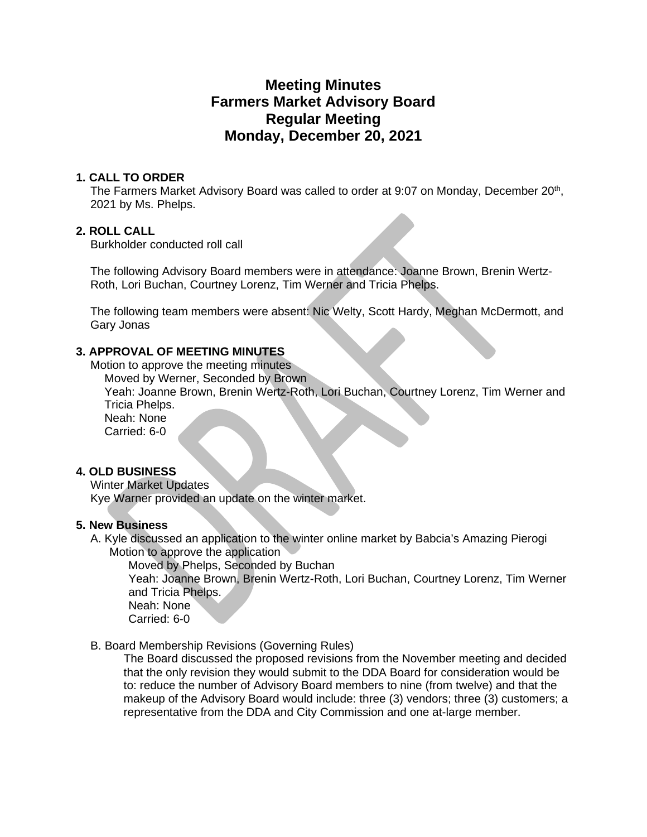#### **Meeting Minutes Farmers Market Advisory Board Regular Meeting Monday, December 20, 2021**

#### **1. CALL TO ORDER**

The Farmers Market Advisory Board was called to order at 9:07 on Monday, December 20<sup>th</sup>, 2021 by Ms. Phelps.

#### **2. ROLL CALL**

Burkholder conducted roll call

The following Advisory Board members were in attendance: Joanne Brown, Brenin Wertz-Roth, Lori Buchan, Courtney Lorenz, Tim Werner and Tricia Phelps.

The following team members were absent: Nic Welty, Scott Hardy, Meghan McDermott, and Gary Jonas

#### **3. APPROVAL OF MEETING MINUTES**

Motion to approve the meeting minutes

Moved by Werner, Seconded by Brown

Yeah: Joanne Brown, Brenin Wertz-Roth, Lori Buchan, Courtney Lorenz, Tim Werner and Tricia Phelps.

Neah: None

Carried: 6-0

#### **4. OLD BUSINESS**

Winter Market Updates

Kye Warner provided an update on the winter market.

#### **5. New Business**

A. Kyle discussed an application to the winter online market by Babcia's Amazing Pierogi Motion to approve the application

Moved by Phelps, Seconded by Buchan Yeah: Joanne Brown, Brenin Wertz-Roth, Lori Buchan, Courtney Lorenz, Tim Werner and Tricia Phelps. Neah: None Carried: 6-0

#### B. Board Membership Revisions (Governing Rules)

The Board discussed the proposed revisions from the November meeting and decided that the only revision they would submit to the DDA Board for consideration would be to: reduce the number of Advisory Board members to nine (from twelve) and that the makeup of the Advisory Board would include: three (3) vendors; three (3) customers; a representative from the DDA and City Commission and one at-large member.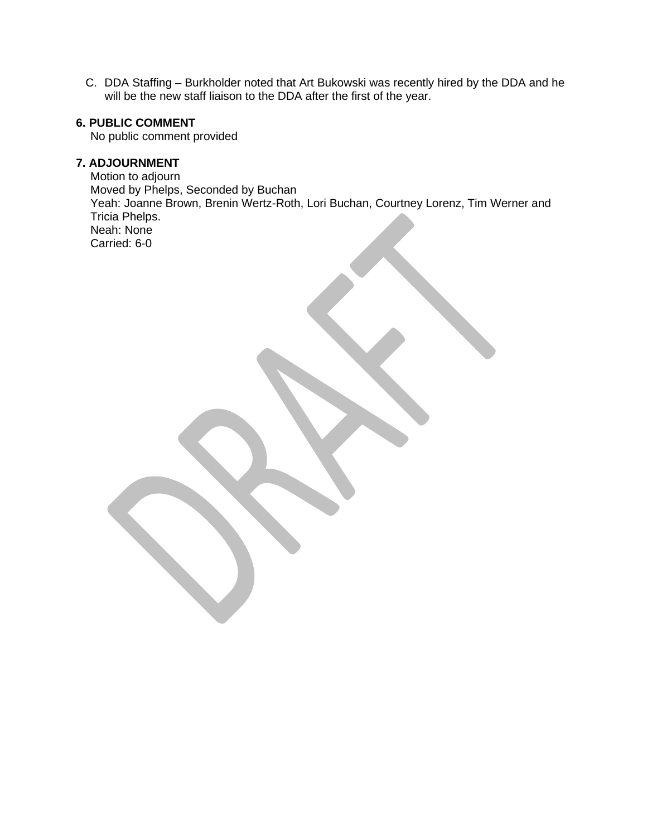C. DDA Staffing – Burkholder noted that Art Bukowski was recently hired by the DDA and he will be the new staff liaison to the DDA after the first of the year.

#### **6. PUBLIC COMMENT**

No public comment provided

#### **7. ADJOURNMENT**

Motion to adjourn Moved by Phelps, Seconded by Buchan Yeah: Joanne Brown, Brenin Wertz-Roth, Lori Buchan, Courtney Lorenz, Tim Werner and Tricia Phelps. Neah: None Carried: 6-0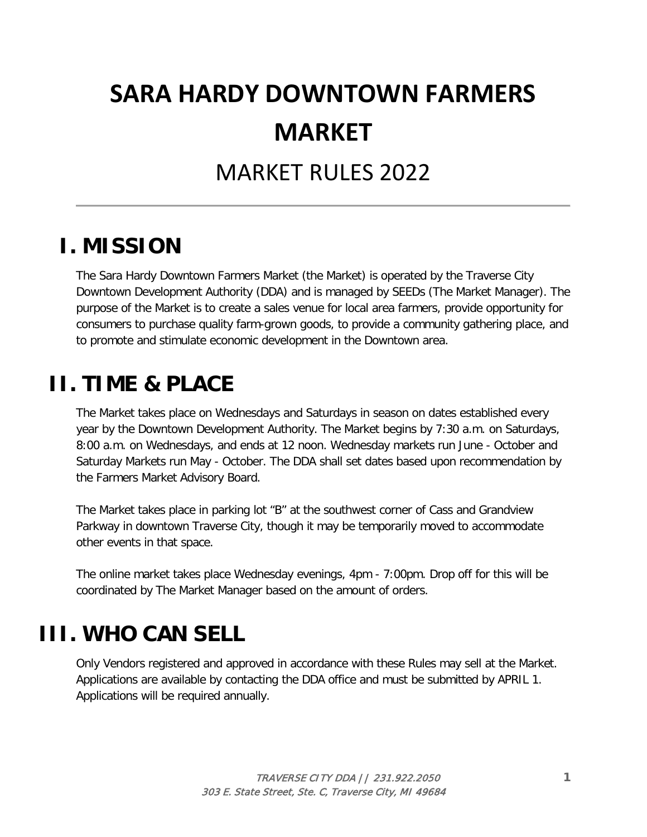# **SARA HARDY DOWNTOWN FARMERS MARKET**

# MARKET RULES 2022

### **I. MISSION**

The Sara Hardy Downtown Farmers Market (the Market) is operated by the Traverse City Downtown Development Authority (DDA) and is managed by SEEDs (The Market Manager). The purpose of the Market is to create a sales venue for local area farmers, provide opportunity for consumers to purchase quality farm-grown goods, to provide a community gathering place, and to promote and stimulate economic development in the Downtown area.

## **II. TIME & PLACE**

The Market takes place on Wednesdays and Saturdays in season on dates established every year by the Downtown Development Authority. The Market begins by 7:30 a.m. on Saturdays, 8:00 a.m. on Wednesdays, and ends at 12 noon. Wednesday markets run June - October and Saturday Markets run May - October. The DDA shall set dates based upon recommendation by the Farmers Market Advisory Board.

The Market takes place in parking lot "B" at the southwest corner of Cass and Grandview Parkway in downtown Traverse City, though it may be temporarily moved to accommodate other events in that space.

The online market takes place Wednesday evenings, 4pm - 7:00pm. Drop off for this will be coordinated by The Market Manager based on the amount of orders.

# **III. WHO CAN SELL**

Only Vendors registered and approved in accordance with these Rules may sell at the Market. Applications are available by contacting the DDA office and must be submitted by APRIL 1. Applications will be required annually.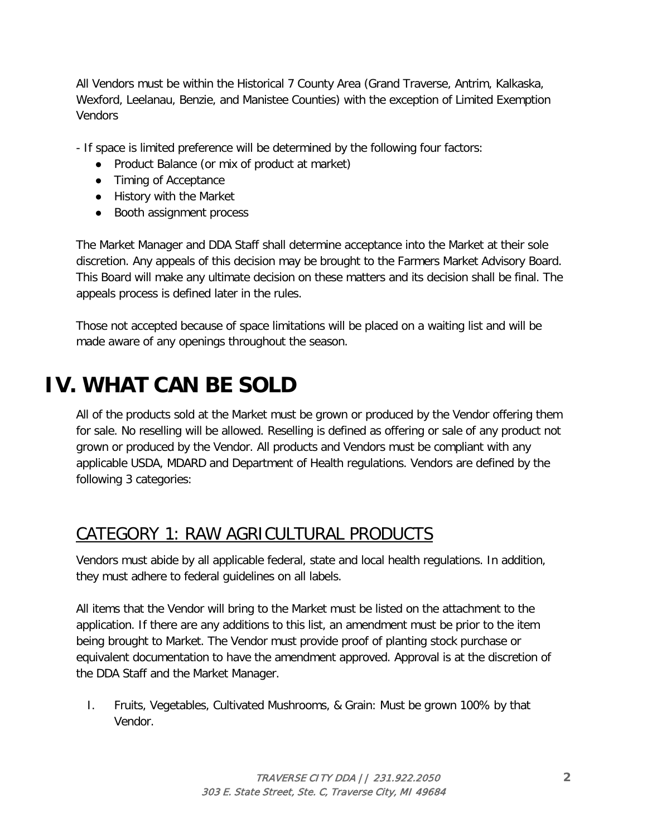All Vendors must be within the Historical 7 County Area (Grand Traverse, Antrim, Kalkaska, Wexford, Leelanau, Benzie, and Manistee Counties) with the exception of Limited Exemption Vendors

- If space is limited preference will be determined by the following four factors:

- Product Balance (or mix of product at market)
- Timing of Acceptance
- History with the Market
- Booth assignment process

The Market Manager and DDA Staff shall determine acceptance into the Market at their sole discretion. Any appeals of this decision may be brought to the Farmers Market Advisory Board. This Board will make any ultimate decision on these matters and its decision shall be final. The appeals process is defined later in the rules.

Those not accepted because of space limitations will be placed on a waiting list and will be made aware of any openings throughout the season.

# **IV. WHAT CAN BE SOLD**

All of the products sold at the Market must be grown or produced by the Vendor offering them for sale. No reselling will be allowed. Reselling is defined as offering or sale of any product not grown or produced by the Vendor. All products and Vendors must be compliant with any applicable USDA, MDARD and Department of Health regulations. Vendors are defined by the following 3 categories:

### CATEGORY 1: RAW AGRICULTURAL PRODUCTS

Vendors must abide by all applicable federal, state and local health regulations. In addition, they must adhere to federal guidelines on all labels.

All items that the Vendor will bring to the Market must be listed on the attachment to the application. If there are any additions to this list, an amendment must be prior to the item being brought to Market. The Vendor must provide proof of planting stock purchase or equivalent documentation to have the amendment approved. Approval is at the discretion of the DDA Staff and the Market Manager.

I. Fruits, Vegetables, Cultivated Mushrooms, & Grain: Must be grown 100% by that Vendor.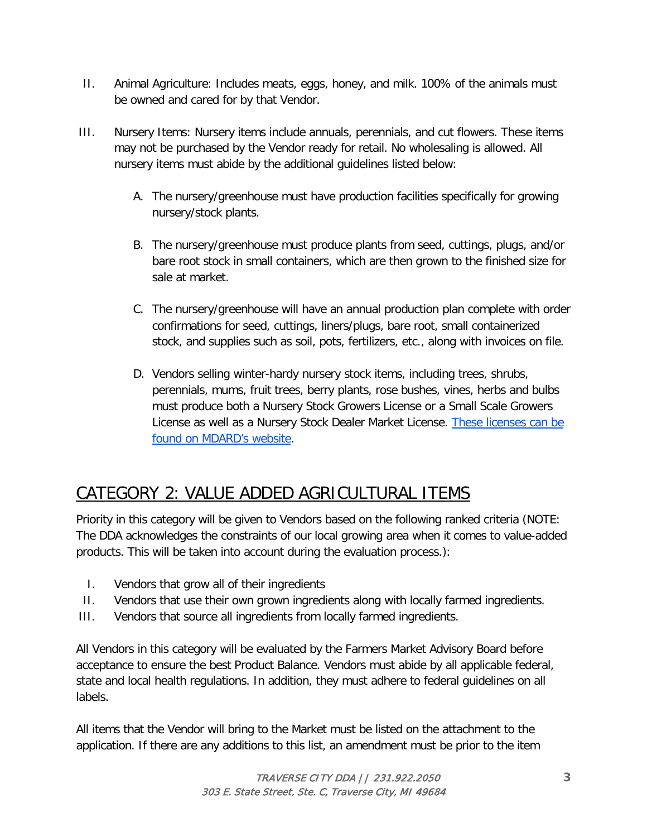- II. Animal Agriculture: Includes meats, eggs, honey, and milk. 100% of the animals must be owned and cared for by that Vendor.
- III. Nursery Items: Nursery items include annuals, perennials, and cut flowers. These items may not be purchased by the Vendor ready for retail. No wholesaling is allowed. All nursery items must abide by the additional guidelines listed below:
	- A. The nursery/greenhouse must have production facilities specifically for growing nursery/stock plants.
	- B. The nursery/greenhouse must produce plants from seed, cuttings, plugs, and/or bare root stock in small containers, which are then grown to the finished size for sale at market.
	- C. The nursery/greenhouse will have an annual production plan complete with order confirmations for seed, cuttings, liners/plugs, bare root, small containerized stock, and supplies such as soil, pots, fertilizers, etc., along with invoices on file.
	- D. Vendors selling winter-hardy nursery stock items, including trees, shrubs, perennials, mums, fruit trees, berry plants, rose bushes, vines, herbs and bulbs must produce both a Nursery Stock Growers License or a Small Scale Growers License as well as a Nursery Stock Dealer Market License. These licenses can be [found on MDARD's website.](http://www.michigan.gov/documents/mdard/Explanation_of_Nursery_Licenses_Types_9-15-15_501136_7.pdf)

### CATEGORY 2: VALUE ADDED AGRICULTURAL ITEMS

Priority in this category will be given to Vendors based on the following ranked criteria (NOTE: The DDA acknowledges the constraints of our local growing area when it comes to value-added products. This will be taken into account during the evaluation process.):

- I. Vendors that grow all of their ingredients
- II. Vendors that use their own grown ingredients along with locally farmed ingredients.
- III. Vendors that source all ingredients from locally farmed ingredients.

All Vendors in this category will be evaluated by the Farmers Market Advisory Board before acceptance to ensure the best Product Balance. Vendors must abide by all applicable federal, state and local health regulations. In addition, they must adhere to federal guidelines on all labels.

All items that the Vendor will bring to the Market must be listed on the attachment to the application. If there are any additions to this list, an amendment must be prior to the item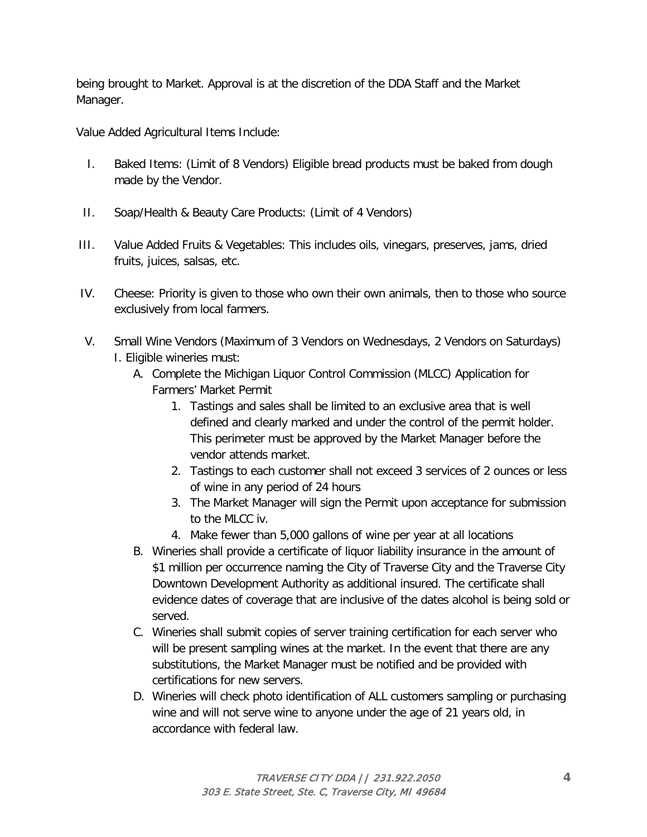being brought to Market. Approval is at the discretion of the DDA Staff and the Market Manager.

Value Added Agricultural Items Include:

- I. Baked Items: (Limit of 8 Vendors) Eligible bread products must be baked from dough made by the Vendor.
- II. Soap/Health & Beauty Care Products: (Limit of 4 Vendors)
- III. Value Added Fruits & Vegetables: This includes oils, vinegars, preserves, jams, dried fruits, juices, salsas, etc.
- IV. Cheese: Priority is given to those who own their own animals, then to those who source exclusively from local farmers.
- V. Small Wine Vendors (Maximum of 3 Vendors on Wednesdays, 2 Vendors on Saturdays) I. Eligible wineries must:
	- A. Complete the Michigan Liquor Control Commission (MLCC) Application for Farmers' Market Permit
		- 1. Tastings and sales shall be limited to an exclusive area that is well defined and clearly marked and under the control of the permit holder. This perimeter must be approved by the Market Manager before the vendor attends market.
		- 2. Tastings to each customer shall not exceed 3 services of 2 ounces or less of wine in any period of 24 hours
		- 3. The Market Manager will sign the Permit upon acceptance for submission to the MLCC iv.
		- 4. Make fewer than 5,000 gallons of wine per year at all locations
	- B. Wineries shall provide a certificate of liquor liability insurance in the amount of \$1 million per occurrence naming the City of Traverse City and the Traverse City Downtown Development Authority as additional insured. The certificate shall evidence dates of coverage that are inclusive of the dates alcohol is being sold or served.
	- C. Wineries shall submit copies of server training certification for each server who will be present sampling wines at the market. In the event that there are any substitutions, the Market Manager must be notified and be provided with certifications for new servers.
	- D. Wineries will check photo identification of ALL customers sampling or purchasing wine and will not serve wine to anyone under the age of 21 years old, in accordance with federal law.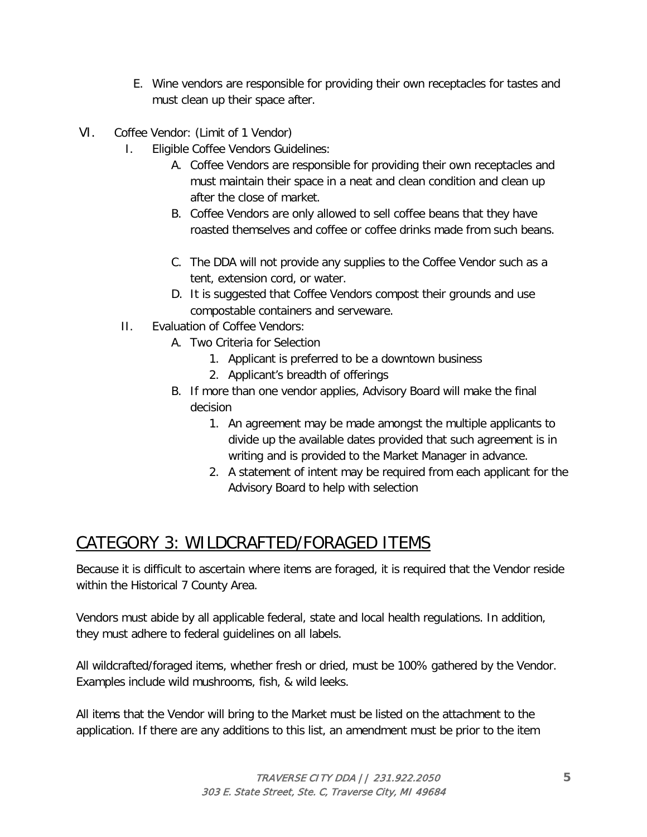- E. Wine vendors are responsible for providing their own receptacles for tastes and must clean up their space after.
- VI. Coffee Vendor: (Limit of 1 Vendor)
	- I. Eligible Coffee Vendors Guidelines:
		- A. Coffee Vendors are responsible for providing their own receptacles and must maintain their space in a neat and clean condition and clean up after the close of market.
		- B. Coffee Vendors are only allowed to sell coffee beans that they have roasted themselves and coffee or coffee drinks made from such beans.
		- C. The DDA will not provide any supplies to the Coffee Vendor such as a tent, extension cord, or water.
		- D. It is suggested that Coffee Vendors compost their grounds and use compostable containers and serveware.
	- II. Evaluation of Coffee Vendors:
		- A. Two Criteria for Selection
			- 1. Applicant is preferred to be a downtown business
			- 2. Applicant's breadth of offerings
		- B. If more than one vendor applies, Advisory Board will make the final decision
			- 1. An agreement may be made amongst the multiple applicants to divide up the available dates provided that such agreement is in writing and is provided to the Market Manager in advance.
			- 2. A statement of intent may be required from each applicant for the Advisory Board to help with selection

### CATEGORY 3: WILDCRAFTED/FORAGED ITEMS

Because it is difficult to ascertain where items are foraged, it is required that the Vendor reside within the Historical 7 County Area.

Vendors must abide by all applicable federal, state and local health regulations. In addition, they must adhere to federal guidelines on all labels.

All wildcrafted/foraged items, whether fresh or dried, must be 100% gathered by the Vendor. Examples include wild mushrooms, fish, & wild leeks.

All items that the Vendor will bring to the Market must be listed on the attachment to the application. If there are any additions to this list, an amendment must be prior to the item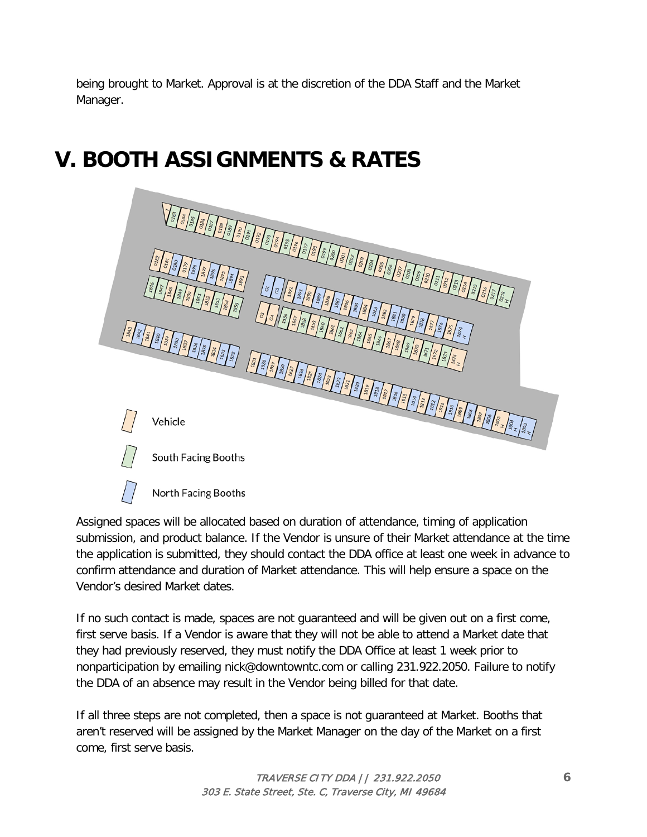being brought to Market. Approval is at the discretion of the DDA Staff and the Market Manager.

# **V. BOOTH ASSIGNMENTS & RATES**

North Facing Booths

| $\frac{1}{2}$<br>1846<br>$\frac{\sqrt{3} \cdot \sqrt{3} \cdot \sqrt{3} \cdot \sqrt{3} \cdot \sqrt{3} \cdot \sqrt{3} \cdot \sqrt{3} \cdot \sqrt{3} \cdot \sqrt{3} \cdot \sqrt{3} \cdot \sqrt{3} \cdot \sqrt{3} \cdot \sqrt{3} \cdot \sqrt{3} \cdot \sqrt{3} \cdot \sqrt{3} \cdot \sqrt{3} \cdot \sqrt{3} \cdot \sqrt{3} \cdot \sqrt{3} \cdot \sqrt{3} \cdot \sqrt{3} \cdot \sqrt{3} \cdot \sqrt{3} \cdot \sqrt{3} \cdot \sqrt{3} \cdot \sqrt{3} \cdot \sqrt{3} \cdot \sqrt{3} \cdot \sqrt{3} \cdot \sqrt{3} \cdot \$ | $\frac{1}{2} \int_{0}^{\frac{\pi}{2}} \frac{1}{2} \int_{0}^{\frac{\pi}{2}} \frac{1}{2} \int_{0}^{\frac{\pi}{2}} \frac{1}{2} \int_{0}^{\frac{\pi}{2}} \frac{1}{2} \int_{0}^{\frac{\pi}{2}} \frac{1}{2} \int_{0}^{\frac{\pi}{2}} \frac{1}{2} \int_{0}^{\frac{\pi}{2}} \frac{1}{2} \int_{0}^{\frac{\pi}{2}} \frac{1}{2} \int_{0}^{\frac{\pi}{2}} \frac{1}{2} \int_{0}^{\frac{\pi}{2}} \frac{1}{2} \int_{0}^{\frac{\pi}{2}}$<br>1890<br>$\frac{1889}{2}$<br>$\frac{188}{2}$<br>$\sqrt{\frac{2}{3}}$<br>1886<br>1895<br>1894                                                                                                                                                                               |
|---------------------------------------------------------------------------------------------------------------------------------------------------------------------------------------------------------------------------------------------------------------------------------------------------------------------------------------------------------------------------------------------------------------------------------------------------------------------------------------------------------------------|-------------------------------------------------------------------------------------------------------------------------------------------------------------------------------------------------------------------------------------------------------------------------------------------------------------------------------------------------------------------------------------------------------------------------------------------------------------------------------------------------------------------------------------------------------------------------------------------------------------------------------------------------------------------------------------------------------|
| $\begin{pmatrix} \frac{2}{3} & \frac{1}{3} & \frac{1}{3} \\ \frac{2}{3} & \frac{1}{3} & \frac{1}{3} \\ \frac{2}{3} & \frac{1}{3} & \frac{1}{3} \end{pmatrix} \begin{pmatrix} \frac{2}{3} & \frac{1}{3} \\ \frac{2}{3} & \frac{1}{3} \end{pmatrix} \begin{pmatrix} \frac{2}{3} & \frac{1}{3} \\ \frac{2}{3} & \frac{1}{3} \end{pmatrix} \begin{pmatrix} \frac{2}{3} & \frac{1}{3} \\ \frac{2}{3} & \frac{1}{3} \end{pmatrix} \begin{pmatrix} \frac$                                                                  | 1883<br>1882<br>$rac{1881}{1800}$<br>$\mathcal{G}% _{CS}^{(n)}$<br>$\frac{3}{3}\left \frac{3}{2}\right \frac{2}{3}\left \frac{2}{3}\right \frac{2}{3}\left \frac{2}{3}\right \frac{2}{3}\left \frac{2}{3}\right \frac{2}{3}\left \frac{2}{3}\right \frac{2}{3}\left \frac{2}{3}\right \frac{2}{3}\left \frac{2}{3}\right \frac{2}{3}\left \frac{2}{3}\right \frac{2}{3}\left \frac{2}{3}\right \frac{2}{3}\left \frac{2}{3}\right \frac{2}{3}\left \frac{2}{3}\right \frac{2}{3}\left \frac{2}{3}\right \frac{2}{3}\left \frac{2}{3}\right \frac{2}{3}\left \frac{2$<br>1879<br>1878<br>1877<br>1876<br>1875<br>1874<br>1866<br>$rac{1867}{1868}$<br>1869<br>$\frac{1870}{2}$<br>1871<br>1872<br>1873 |
|                                                                                                                                                                                                                                                                                                                                                                                                                                                                                                                     |                                                                                                                                                                                                                                                                                                                                                                                                                                                                                                                                                                                                                                                                                                       |
| Vehicle<br>South Facing Booths                                                                                                                                                                                                                                                                                                                                                                                                                                                                                      |                                                                                                                                                                                                                                                                                                                                                                                                                                                                                                                                                                                                                                                                                                       |
|                                                                                                                                                                                                                                                                                                                                                                                                                                                                                                                     |                                                                                                                                                                                                                                                                                                                                                                                                                                                                                                                                                                                                                                                                                                       |

Assigned spaces will be allocated based on duration of attendance, timing of application submission, and product balance. If the Vendor is unsure of their Market attendance at the time the application is submitted, they should contact the DDA office at least one week in advance to confirm attendance and duration of Market attendance. This will help ensure a space on the Vendor's desired Market dates.

If no such contact is made, spaces are not guaranteed and will be given out on a first come, first serve basis. If a Vendor is aware that they will not be able to attend a Market date that they had previously reserved, they must notify the DDA Office at least 1 week prior to nonparticipation by emailing nick@downtowntc.com or calling 231.922.2050. Failure to notify the DDA of an absence may result in the Vendor being billed for that date.

If all three steps are not completed, then a space is not guaranteed at Market. Booths that aren't reserved will be assigned by the Market Manager on the day of the Market on a first come, first serve basis.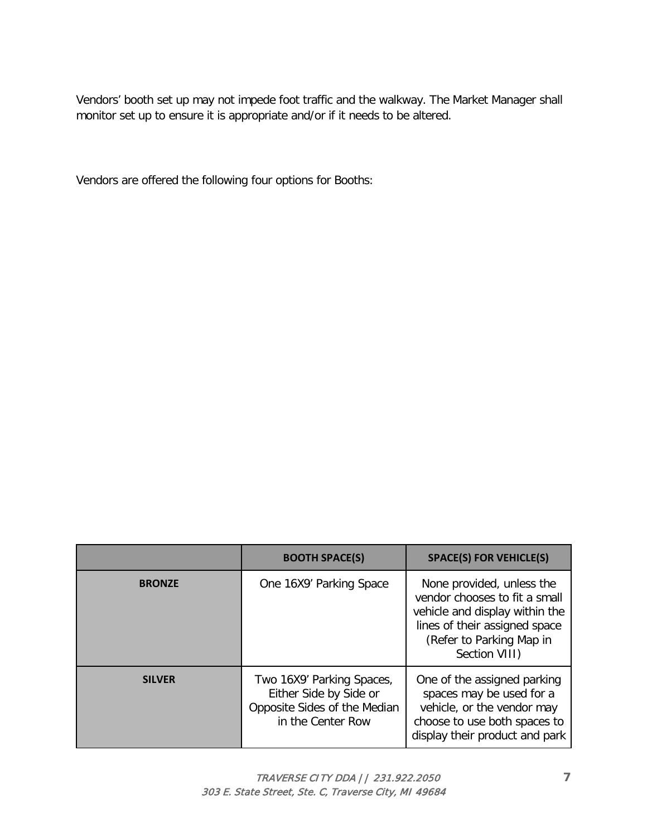Vendors' booth set up may not impede foot traffic and the walkway. The Market Manager shall monitor set up to ensure it is appropriate and/or if it needs to be altered.

Vendors are offered the following four options for Booths:

|               | <b>BOOTH SPACE(S)</b>                                                                                    | <b>SPACE(S) FOR VEHICLE(S)</b>                                                                                                                                             |
|---------------|----------------------------------------------------------------------------------------------------------|----------------------------------------------------------------------------------------------------------------------------------------------------------------------------|
| <b>BRONZE</b> | One 16X9' Parking Space                                                                                  | None provided, unless the<br>vendor chooses to fit a small<br>vehicle and display within the<br>lines of their assigned space<br>(Refer to Parking Map in<br>Section VIII) |
| <b>SILVER</b> | Two 16X9' Parking Spaces,<br>Either Side by Side or<br>Opposite Sides of the Median<br>in the Center Row | One of the assigned parking<br>spaces may be used for a<br>vehicle, or the vendor may<br>choose to use both spaces to<br>display their product and park                    |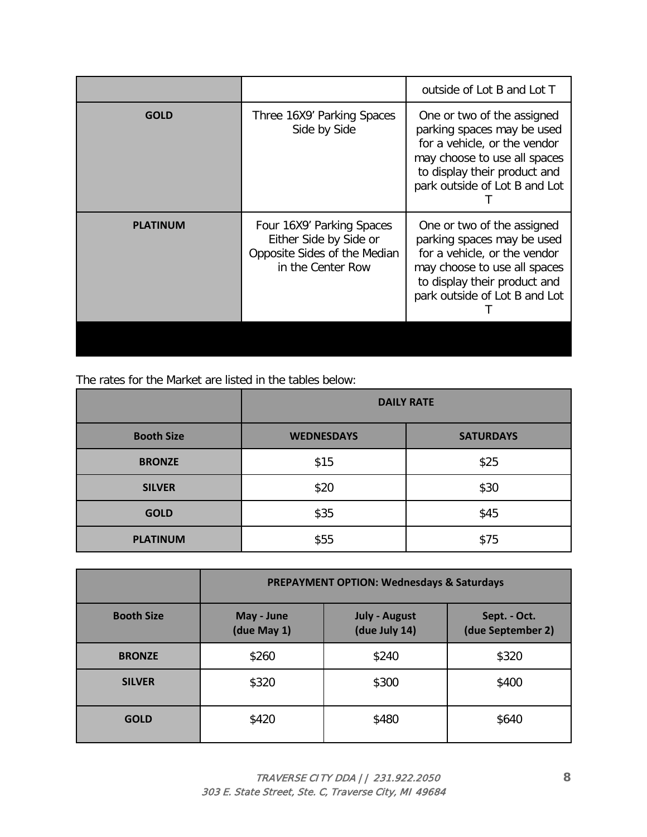|                 |                                                                                                          | outside of Lot B and Lot T                                                                                                                                                                |
|-----------------|----------------------------------------------------------------------------------------------------------|-------------------------------------------------------------------------------------------------------------------------------------------------------------------------------------------|
| <b>GOLD</b>     | Three 16X9' Parking Spaces<br>Side by Side                                                               | One or two of the assigned<br>parking spaces may be used<br>for a vehicle, or the vendor<br>may choose to use all spaces<br>to display their product and<br>park outside of Lot B and Lot |
| <b>PLATINUM</b> | Four 16X9' Parking Spaces<br>Either Side by Side or<br>Opposite Sides of the Median<br>in the Center Row | One or two of the assigned<br>parking spaces may be used<br>for a vehicle, or the vendor<br>may choose to use all spaces<br>to display their product and<br>park outside of Lot B and Lot |

The rates for the Market are listed in the tables below:

|                   | <b>DAILY RATE</b>                     |      |  |
|-------------------|---------------------------------------|------|--|
| <b>Booth Size</b> | <b>WEDNESDAYS</b><br><b>SATURDAYS</b> |      |  |
| <b>BRONZE</b>     | \$15                                  | \$25 |  |
| <b>SILVER</b>     | \$20                                  | \$30 |  |
| <b>GOLD</b>       | \$35                                  | \$45 |  |
| <b>PLATINUM</b>   | \$55                                  | \$75 |  |

|                   | <b>PREPAYMENT OPTION: Wednesdays &amp; Saturdays</b> |                                       |                                   |
|-------------------|------------------------------------------------------|---------------------------------------|-----------------------------------|
| <b>Booth Size</b> | May - June<br>(due May 1)                            | <b>July - August</b><br>(due July 14) | Sept. - Oct.<br>(due September 2) |
| <b>BRONZE</b>     | \$260                                                | \$240                                 | \$320                             |
| <b>SILVER</b>     | \$320                                                | \$300                                 | \$400                             |
| <b>GOLD</b>       | \$420                                                | \$480                                 | \$640                             |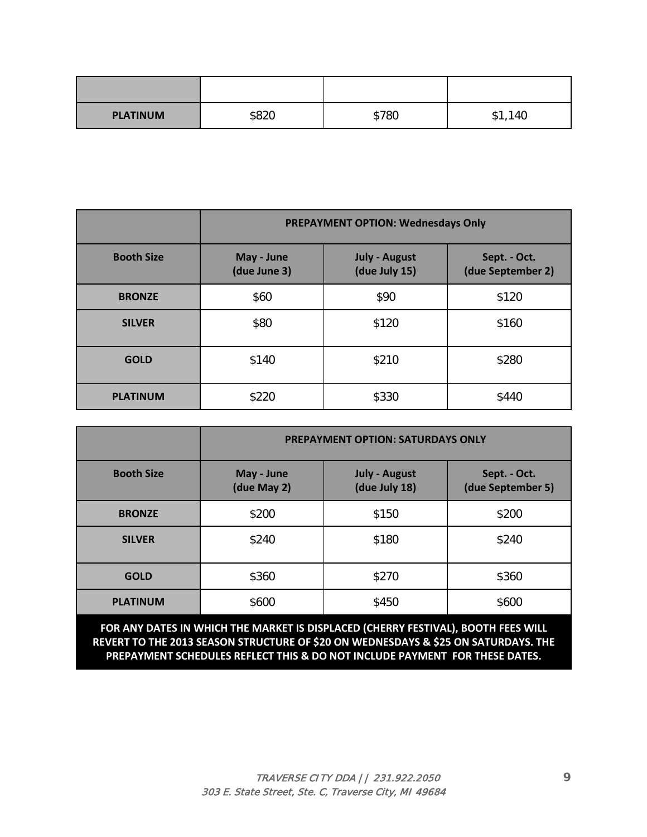| <b>PLATINUM</b> | \$820 | \$780 | 1<br>140<br>$\mathcal{P}$ I, |
|-----------------|-------|-------|------------------------------|

|                   | <b>PREPAYMENT OPTION: Wednesdays Only</b> |                                       |                                   |
|-------------------|-------------------------------------------|---------------------------------------|-----------------------------------|
| <b>Booth Size</b> | May - June<br>(due June 3)                | <b>July - August</b><br>(due July 15) | Sept. - Oct.<br>(due September 2) |
| <b>BRONZE</b>     | \$60                                      | \$90                                  | \$120                             |
| <b>SILVER</b>     | \$80                                      | \$120                                 | \$160                             |
| <b>GOLD</b>       | \$140                                     | \$210                                 | \$280                             |
| <b>PLATINUM</b>   | \$220                                     | \$330                                 | \$440                             |

|                   | <b>PREPAYMENT OPTION: SATURDAYS ONLY</b> |                                       |                                   |
|-------------------|------------------------------------------|---------------------------------------|-----------------------------------|
| <b>Booth Size</b> | May - June<br>(due May 2)                | <b>July - August</b><br>(due July 18) | Sept. - Oct.<br>(due September 5) |
| <b>BRONZE</b>     | \$200                                    | \$150                                 | \$200                             |
| <b>SILVER</b>     | \$240                                    | \$180                                 | \$240                             |
| <b>GOLD</b>       | \$360                                    | \$270                                 | \$360                             |
| <b>PLATINUM</b>   | \$600                                    | \$450                                 | \$600                             |

**FOR ANY DATES IN WHICH THE MARKET IS DISPLACED (CHERRY FESTIVAL), BOOTH FEES WILL REVERT TO THE 2013 SEASON STRUCTURE OF \$20 ON WEDNESDAYS & \$25 ON SATURDAYS. THE PREPAYMENT SCHEDULES REFLECT THIS & DO NOT INCLUDE PAYMENT FOR THESE DATES.**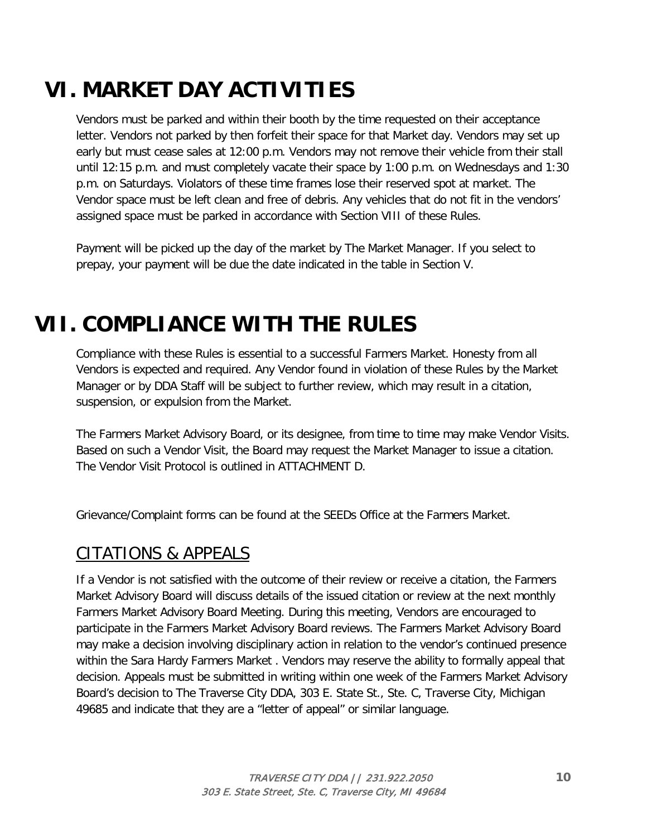# **VI. MARKET DAY ACTIVITIES**

Vendors must be parked and within their booth by the time requested on their acceptance letter. Vendors not parked by then forfeit their space for that Market day. Vendors may set up early but must cease sales at 12:00 p.m. Vendors may not remove their vehicle from their stall until 12:15 p.m. and must completely vacate their space by 1:00 p.m. on Wednesdays and 1:30 p.m. on Saturdays. Violators of these time frames lose their reserved spot at market. The Vendor space must be left clean and free of debris. Any vehicles that do not fit in the vendors' assigned space must be parked in accordance with Section VIII of these Rules.

Payment will be picked up the day of the market by The Market Manager. If you select to prepay, your payment will be due the date indicated in the table in Section V.

# **VII. COMPLIANCE WITH THE RULES**

Compliance with these Rules is essential to a successful Farmers Market. Honesty from all Vendors is expected and required. Any Vendor found in violation of these Rules by the Market Manager or by DDA Staff will be subject to further review, which may result in a citation, suspension, or expulsion from the Market.

The Farmers Market Advisory Board, or its designee, from time to time may make Vendor Visits. Based on such a Vendor Visit, the Board may request the Market Manager to issue a citation. The Vendor Visit Protocol is outlined in ATTACHMENT D.

Grievance/Complaint forms can be found at the SEEDs Office at the Farmers Market.

### CITATIONS & APPEALS

If a Vendor is not satisfied with the outcome of their review or receive a citation, the Farmers Market Advisory Board will discuss details of the issued citation or review at the next monthly Farmers Market Advisory Board Meeting. During this meeting, Vendors are encouraged to participate in the Farmers Market Advisory Board reviews. The Farmers Market Advisory Board may make a decision involving disciplinary action in relation to the vendor's continued presence within the Sara Hardy Farmers Market . Vendors may reserve the ability to formally appeal that decision. Appeals must be submitted in writing within one week of the Farmers Market Advisory Board's decision to The Traverse City DDA, 303 E. State St., Ste. C, Traverse City, Michigan 49685 and indicate that they are a "letter of appeal" or similar language.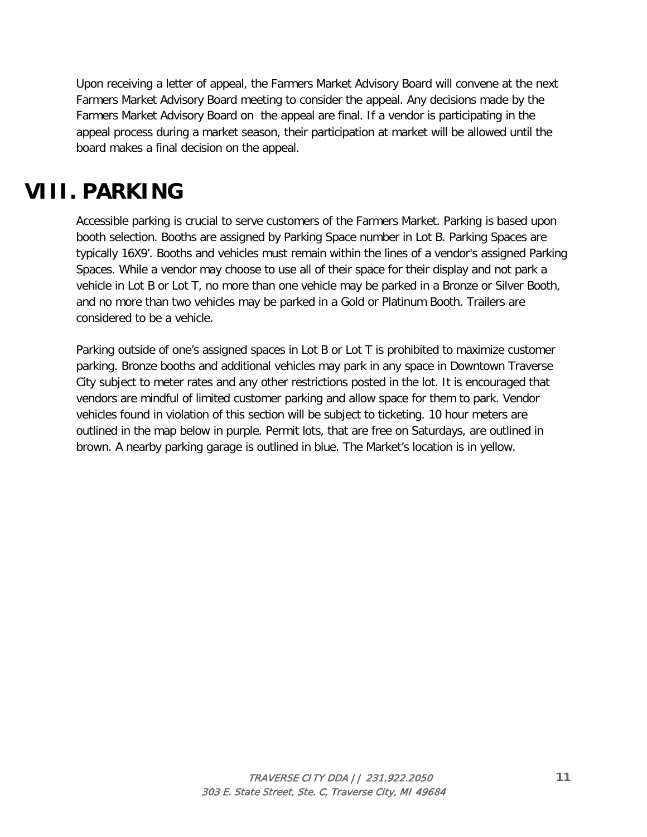Upon receiving a letter of appeal, the Farmers Market Advisory Board will convene at the next Farmers Market Advisory Board meeting to consider the appeal. Any decisions made by the Farmers Market Advisory Board on the appeal are final. If a vendor is participating in the appeal process during a market season, their participation at market will be allowed until the board makes a final decision on the appeal.

### **VIII. PARKING**

Accessible parking is crucial to serve customers of the Farmers Market. Parking is based upon booth selection. Booths are assigned by Parking Space number in Lot B. Parking Spaces are typically 16X9'. Booths and vehicles must remain within the lines of a vendor's assigned Parking Spaces. While a vendor may choose to use all of their space for their display and not park a vehicle in Lot B or Lot T, no more than one vehicle may be parked in a Bronze or Silver Booth, and no more than two vehicles may be parked in a Gold or Platinum Booth. Trailers are considered to be a vehicle.

Parking outside of one's assigned spaces in Lot B or Lot T is prohibited to maximize customer parking. Bronze booths and additional vehicles may park in any space in Downtown Traverse City subject to meter rates and any other restrictions posted in the lot. It is encouraged that vendors are mindful of limited customer parking and allow space for them to park. Vendor vehicles found in violation of this section will be subject to ticketing. 10 hour meters are outlined in the map below in purple. Permit lots, that are free on Saturdays, are outlined in brown. A nearby parking garage is outlined in blue. The Market's location is in yellow.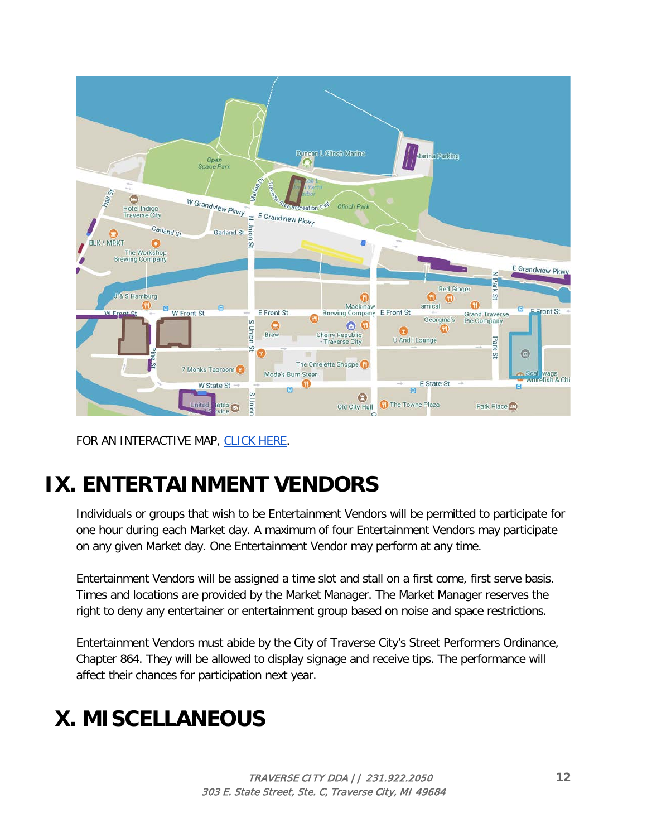

FOR AN INTERACTIVE MAP, [CLICK HERE.](http://www.downtowntc.com/maps-parking/parking-map)

# **IX. ENTERTAINMENT VENDORS**

Individuals or groups that wish to be Entertainment Vendors will be permitted to participate for one hour during each Market day. A maximum of four Entertainment Vendors may participate on any given Market day. One Entertainment Vendor may perform at any time.

Entertainment Vendors will be assigned a time slot and stall on a first come, first serve basis. Times and locations are provided by the Market Manager. The Market Manager reserves the right to deny any entertainer or entertainment group based on noise and space restrictions.

Entertainment Vendors must abide by the City of Traverse City's Street Performers Ordinance, Chapter 864. They will be allowed to display signage and receive tips. The performance will affect their chances for participation next year.

# **X. MISCELLANEOUS**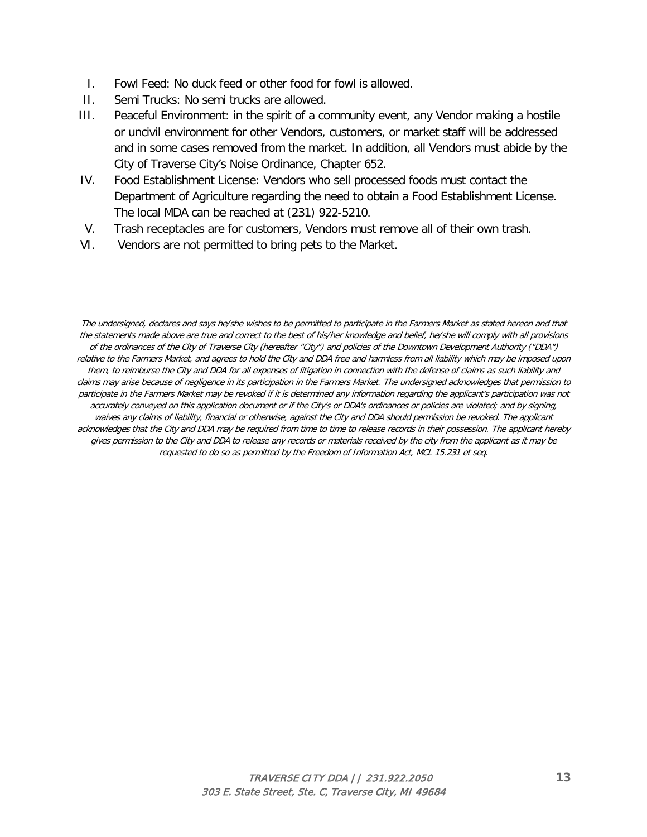- I. Fowl Feed: No duck feed or other food for fowl is allowed.
- II. Semi Trucks: No semi trucks are allowed.
- III. Peaceful Environment: in the spirit of a community event, any Vendor making a hostile or uncivil environment for other Vendors, customers, or market staff will be addressed and in some cases removed from the market. In addition, all Vendors must abide by the City of Traverse City's Noise Ordinance, Chapter 652.
- IV. Food Establishment License: Vendors who sell processed foods must contact the Department of Agriculture regarding the need to obtain a Food Establishment License. The local MDA can be reached at (231) 922-5210.
- V. Trash receptacles are for customers, Vendors must remove all of their own trash.
- VI. Vendors are not permitted to bring pets to the Market.

The undersigned, declares and says he/she wishes to be permitted to participate in the Farmers Market as stated hereon and that the statements made above are true and correct to the best of his/her knowledge and belief, he/she will comply with all provisions of the ordinances of the City of Traverse City (hereafter "City") and policies of the Downtown Development Authority ("DDA") relative to the Farmers Market, and agrees to hold the City and DDA free and harmless from all liability which may be imposed upon them, to reimburse the City and DDA for all expenses of litigation in connection with the defense of claims as such liability and claims may arise because of negligence in its participation in the Farmers Market. The undersigned acknowledges that permission to participate in the Farmers Market may be revoked if it is determined any information regarding the applicant's participation was not accurately conveyed on this application document or if the City's or DDA's ordinances or policies are violated; and by signing, waives any claims of liability, financial or otherwise, against the City and DDA should permission be revoked. The applicant acknowledges that the City and DDA may be required from time to time to release records in their possession. The applicant hereby gives permission to the City and DDA to release any records or materials received by the city from the applicant as it may be requested to do so as permitted by the Freedom of Information Act, MCL 15.231 et seq.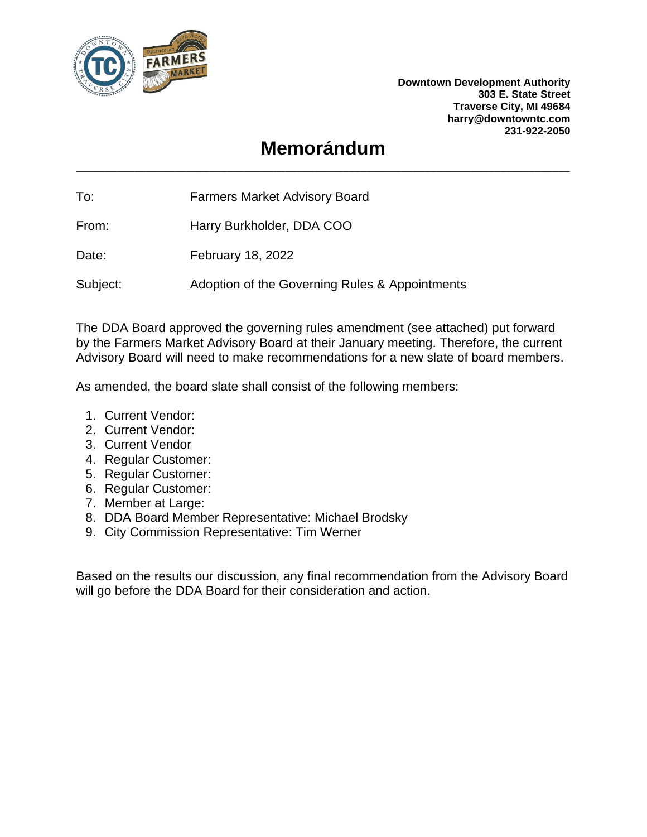

**Downtown Development Authority 303 E. State Street Traverse City, MI 49684 harry@downtowntc.com 231-922-2050**

### **Memorándum** \_\_\_\_\_\_\_\_\_\_\_\_\_\_\_\_\_\_\_\_\_\_\_\_\_\_\_\_\_\_\_\_\_\_\_\_\_\_\_\_\_\_\_\_\_\_\_\_\_\_\_\_\_\_\_\_\_\_\_\_\_\_\_\_\_\_\_\_\_\_\_\_\_\_\_\_\_\_\_\_\_\_\_\_\_

To: Farmers Market Advisory Board

From: Harry Burkholder, DDA COO

Date: February 18, 2022

Subject: Adoption of the Governing Rules & Appointments

The DDA Board approved the governing rules amendment (see attached) put forward by the Farmers Market Advisory Board at their January meeting. Therefore, the current Advisory Board will need to make recommendations for a new slate of board members.

As amended, the board slate shall consist of the following members:

- 1. Current Vendor:
- 2. Current Vendor:
- 3. Current Vendor
- 4. Regular Customer:
- 5. Regular Customer:
- 6. Regular Customer:
- 7. Member at Large:
- 8. DDA Board Member Representative: Michael Brodsky
- 9. City Commission Representative: Tim Werner

Based on the results our discussion, any final recommendation from the Advisory Board will go before the DDA Board for their consideration and action.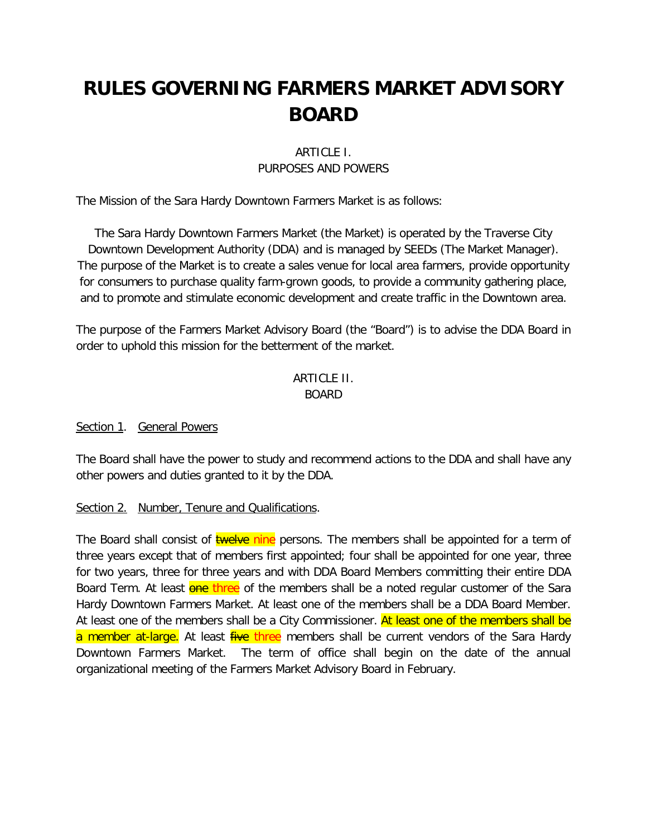## **RULES GOVERNING FARMERS MARKET ADVISORY BOARD**

#### ARTICLE I. PURPOSES AND POWERS

The Mission of the Sara Hardy Downtown Farmers Market is as follows:

The Sara Hardy Downtown Farmers Market (the Market) is operated by the Traverse City Downtown Development Authority (DDA) and is managed by SEEDs (The Market Manager). The purpose of the Market is to create a sales venue for local area farmers, provide opportunity for consumers to purchase quality farm-grown goods, to provide a community gathering place, and to promote and stimulate economic development and create traffic in the Downtown area.

The purpose of the Farmers Market Advisory Board (the "Board") is to advise the DDA Board in order to uphold this mission for the betterment of the market.

#### ARTICLE II. BOARD

#### Section 1. General Powers

The Board shall have the power to study and recommend actions to the DDA and shall have any other powers and duties granted to it by the DDA.

#### Section 2. Number, Tenure and Qualifications.

The Board shall consist of **twelve nine** persons. The members shall be appointed for a term of three years except that of members first appointed; four shall be appointed for one year, three for two years, three for three years and with DDA Board Members committing their entire DDA Board Term. At least one three of the members shall be a noted regular customer of the Sara Hardy Downtown Farmers Market. At least one of the members shall be a DDA Board Member. At least one of the members shall be a City Commissioner. At least one of the members shall be a member at-large. At least five three members shall be current vendors of the Sara Hardy Downtown Farmers Market. The term of office shall begin on the date of the annual organizational meeting of the Farmers Market Advisory Board in February.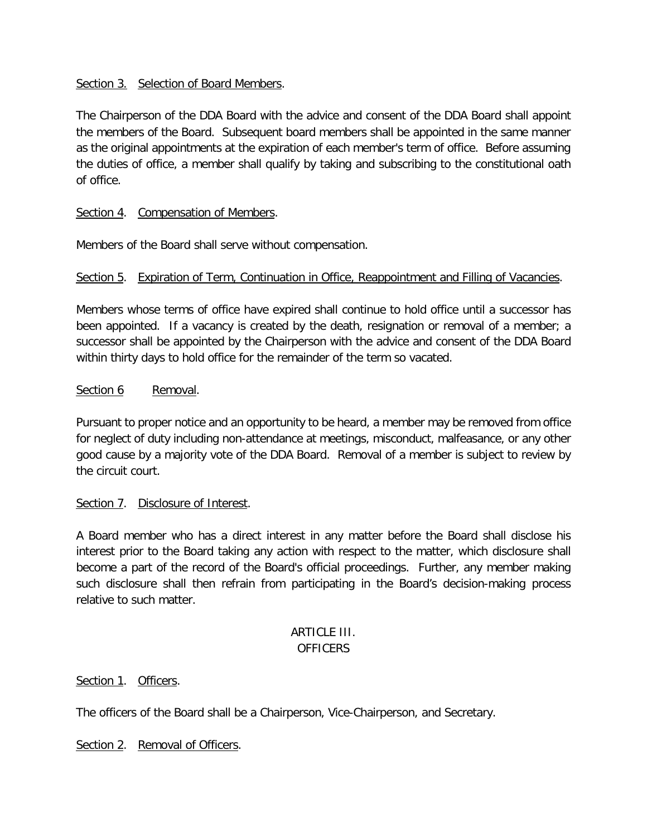#### Section 3. Selection of Board Members.

The Chairperson of the DDA Board with the advice and consent of the DDA Board shall appoint the members of the Board. Subsequent board members shall be appointed in the same manner as the original appointments at the expiration of each member's term of office. Before assuming the duties of office, a member shall qualify by taking and subscribing to the constitutional oath of office.

#### Section 4. Compensation of Members.

Members of the Board shall serve without compensation.

#### Section 5. Expiration of Term, Continuation in Office, Reappointment and Filling of Vacancies.

Members whose terms of office have expired shall continue to hold office until a successor has been appointed. If a vacancy is created by the death, resignation or removal of a member; a successor shall be appointed by the Chairperson with the advice and consent of the DDA Board within thirty days to hold office for the remainder of the term so vacated.

#### Section 6 Removal.

Pursuant to proper notice and an opportunity to be heard, a member may be removed from office for neglect of duty including non-attendance at meetings, misconduct, malfeasance, or any other good cause by a majority vote of the DDA Board. Removal of a member is subject to review by the circuit court.

#### Section 7. Disclosure of Interest.

A Board member who has a direct interest in any matter before the Board shall disclose his interest prior to the Board taking any action with respect to the matter, which disclosure shall become a part of the record of the Board's official proceedings. Further, any member making such disclosure shall then refrain from participating in the Board's decision-making process relative to such matter.

#### ARTICLE III. **OFFICERS**

#### Section 1. Officers.

The officers of the Board shall be a Chairperson, Vice-Chairperson, and Secretary.

Section 2. Removal of Officers.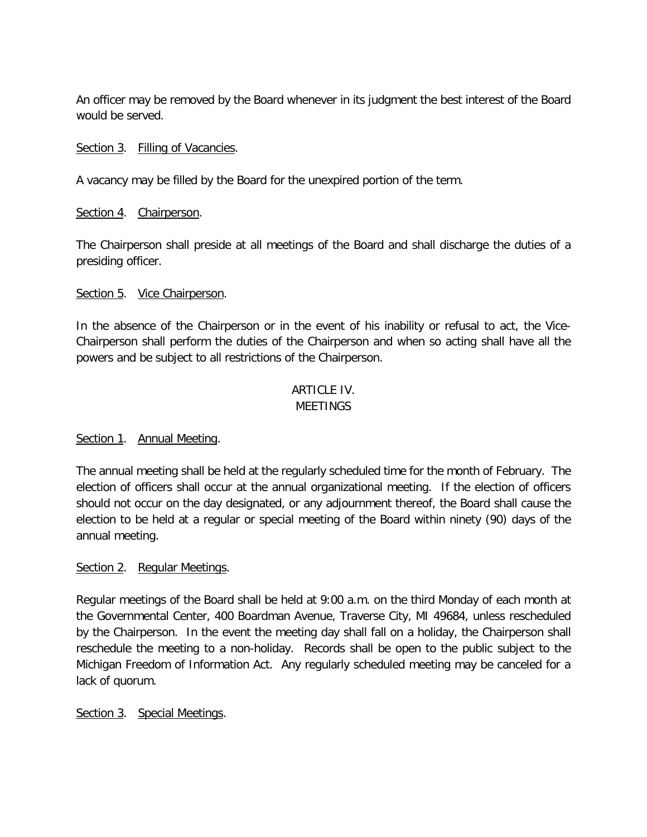An officer may be removed by the Board whenever in its judgment the best interest of the Board would be served.

#### Section 3. Filling of Vacancies.

A vacancy may be filled by the Board for the unexpired portion of the term.

#### Section 4. Chairperson.

The Chairperson shall preside at all meetings of the Board and shall discharge the duties of a presiding officer.

#### Section 5. Vice Chairperson.

In the absence of the Chairperson or in the event of his inability or refusal to act, the Vice-Chairperson shall perform the duties of the Chairperson and when so acting shall have all the powers and be subject to all restrictions of the Chairperson.

#### ARTICLE IV. **MEFTINGS**

#### Section 1. Annual Meeting.

The annual meeting shall be held at the regularly scheduled time for the month of February. The election of officers shall occur at the annual organizational meeting. If the election of officers should not occur on the day designated, or any adjournment thereof, the Board shall cause the election to be held at a regular or special meeting of the Board within ninety (90) days of the annual meeting.

#### Section 2. Regular Meetings.

Regular meetings of the Board shall be held at 9:00 a.m. on the third Monday of each month at the Governmental Center, 400 Boardman Avenue, Traverse City, MI 49684, unless rescheduled by the Chairperson. In the event the meeting day shall fall on a holiday, the Chairperson shall reschedule the meeting to a non-holiday. Records shall be open to the public subject to the Michigan Freedom of Information Act. Any regularly scheduled meeting may be canceled for a lack of quorum.

#### Section 3. Special Meetings.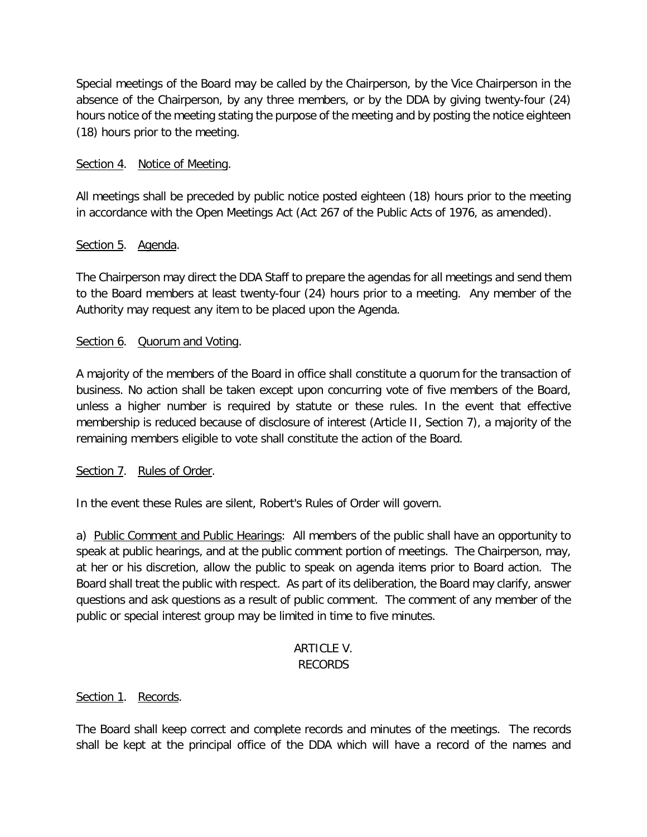Special meetings of the Board may be called by the Chairperson, by the Vice Chairperson in the absence of the Chairperson, by any three members, or by the DDA by giving twenty-four (24) hours notice of the meeting stating the purpose of the meeting and by posting the notice eighteen (18) hours prior to the meeting.

#### Section 4. Notice of Meeting.

All meetings shall be preceded by public notice posted eighteen (18) hours prior to the meeting in accordance with the Open Meetings Act (Act 267 of the Public Acts of 1976, as amended).

#### Section 5. Agenda.

The Chairperson may direct the DDA Staff to prepare the agendas for all meetings and send them to the Board members at least twenty-four (24) hours prior to a meeting. Any member of the Authority may request any item to be placed upon the Agenda.

#### Section 6. Quorum and Voting.

A majority of the members of the Board in office shall constitute a quorum for the transaction of business. No action shall be taken except upon concurring vote of five members of the Board, unless a higher number is required by statute or these rules. In the event that effective membership is reduced because of disclosure of interest (Article II, Section 7), a majority of the remaining members eligible to vote shall constitute the action of the Board.

#### Section 7. Rules of Order.

In the event these Rules are silent, Robert's Rules of Order will govern.

a) Public Comment and Public Hearings: All members of the public shall have an opportunity to speak at public hearings, and at the public comment portion of meetings. The Chairperson, may, at her or his discretion, allow the public to speak on agenda items prior to Board action. The Board shall treat the public with respect. As part of its deliberation, the Board may clarify, answer questions and ask questions as a result of public comment. The comment of any member of the public or special interest group may be limited in time to five minutes.

#### **ARTICLE V.** RECORDS

#### Section 1. Records.

The Board shall keep correct and complete records and minutes of the meetings. The records shall be kept at the principal office of the DDA which will have a record of the names and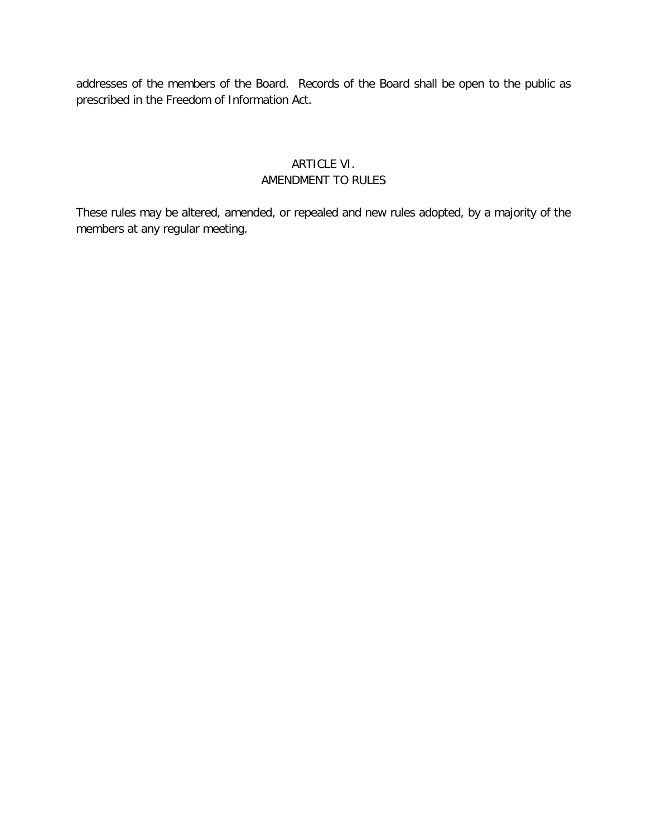addresses of the members of the Board. Records of the Board shall be open to the public as prescribed in the Freedom of Information Act.

#### ARTICLE VI. AMENDMENT TO RULES

These rules may be altered, amended, or repealed and new rules adopted, by a majority of the members at any regular meeting.